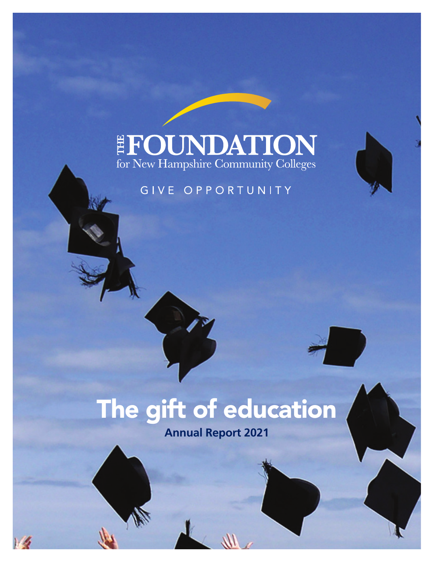### EFOUNDATION for New Hampshire Community Colleges

### GIVE OPPORTUNITY

# The gift of education

**Annual Report 2021**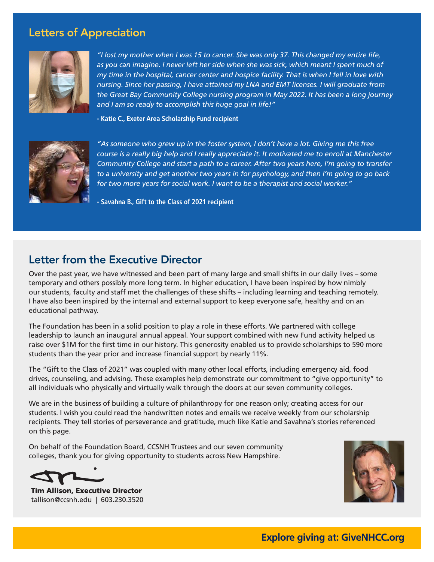### Letters of Appreciation



*"I lost my mother when I was 15 to cancer. She was only 37. This changed my entire life,*  as you can imagine. I never left her side when she was sick, which meant I spent much of *my time in the hospital, cancer center and hospice facility. That is when I fell in love with nursing. Since her passing, I have attained my LNA and EMT licenses. I will graduate from the Great Bay Community College nursing program in May 2022. It has been a long journey and I am so ready to accomplish this huge goal in life!"* 

**- Katie C., Exeter Area Scholarship Fund recipient**



*"As someone who grew up in the foster system, I don't have a lot. Giving me this free course is a really big help and I really appreciate it. It motivated me to enroll at Manchester Community College and start a path to a career. After two years here, I'm going to transfer to a university and get another two years in for psychology, and then I'm going to go back for two more years for social work. I want to be a therapist and social worker."*

**- Savahna B., Gift to the Class of 2021 recipient**

### Letter from the Executive Director

Over the past year, we have witnessed and been part of many large and small shifts in our daily lives – some temporary and others possibly more long term. In higher education, I have been inspired by how nimbly our students, faculty and staff met the challenges of these shifts – including learning and teaching remotely. I have also been inspired by the internal and external support to keep everyone safe, healthy and on an educational pathway.

The Foundation has been in a solid position to play a role in these efforts. We partnered with college leadership to launch an inaugural annual appeal. Your support combined with new Fund activity helped us raise over \$1M for the first time in our history. This generosity enabled us to provide scholarships to 590 more students than the year prior and increase financial support by nearly 11%.

The "Gift to the Class of 2021" was coupled with many other local efforts, including emergency aid, food drives, counseling, and advising. These examples help demonstrate our commitment to "give opportunity" to all individuals who physically and virtually walk through the doors at our seven community colleges.

We are in the business of building a culture of philanthropy for one reason only; creating access for our students. I wish you could read the handwritten notes and emails we receive weekly from our scholarship recipients. They tell stories of perseverance and gratitude, much like Katie and Savahna's stories referenced on this page.

On behalf of the Foundation Board, CCSNH Trustees and our seven community colleges, thank you for giving opportunity to students across New Hampshire.

Tim Allison, Executive Director tallison@ccsnh.edu | 603.230.3520

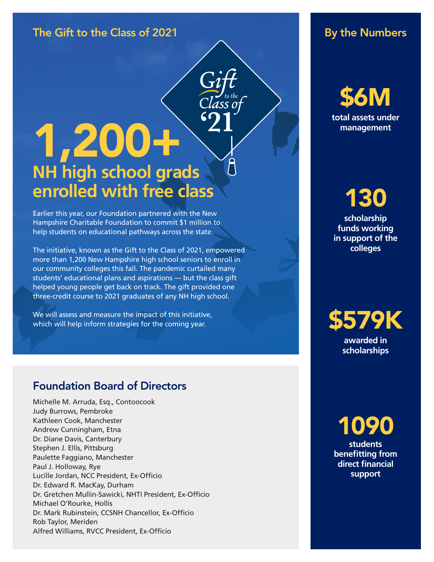### The Gift to the Class of 2021 and the Sumbers of the Numbers

# 1,200+ **NH high school grads enrolled with free class**

Earlier this year, our Foundation partnered with the New Hampshire Charitable Foundation to commit \$1 million to help students on educational pathways across the state.

The initiative, known as the Gift to the Class of 2021, empowered more than 1,200 New Hampshire high school seniors to enroll in our community colleges this fall. The pandemic curtailed many students' educational plans and aspirations — but the class gift helped young people get back on track. The gift provided one three-credit course to 2021 graduates of any NH high school.

We will assess and measure the impact of this initiative, which will help inform strategies for the coming year.

### Foundation Board of Directors

Michelle M. Arruda, Esq., Contoocook Judy Burrows, Pembroke Kathleen Cook, Manchester Andrew Cunningham, Etna Dr. Diane Davis, Canterbury Stephen J. Ellis, Pittsburg Paulette Faggiano, Manchester Paul J. Holloway, Rye Lucille Jordan, NCC President, Ex-Officio Dr. Edward R. MacKay, Durham Dr. Gretchen Mullin-Sawicki, NHTI President, Ex-Officio Michael O'Rourke, Hollis Dr. Mark Rubinstein, CCSNH Chancellor, Ex-Officio Rob Taylor, Meriden Alfred Williams, RVCC President, Ex-Officio

\$6M **total assets under management**

# 130

**scholarship funds working in support of the colleges**

## \$579K

**awarded in scholarships**

1090 **students benefitting from direct financial support**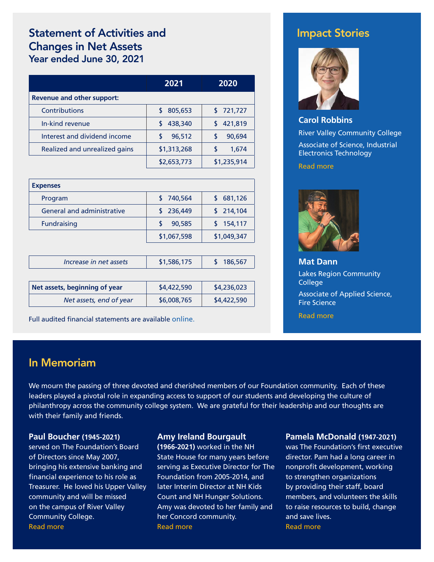### Statement of Activities and Changes in Net Assets Year ended June 30, 2021

|                                   | 2021          | 2020        |
|-----------------------------------|---------------|-------------|
| <b>Revenue and other support:</b> |               |             |
| Contributions                     | 805,653<br>S. | \$721,727   |
| In-kind revenue                   | 438,340<br>S. | 421,819     |
| Interest and dividend income      | 96,512<br>S   | 90.694      |
| Realized and unrealized gains     | \$1,313,268   | 1,674       |
|                                   | \$2,653,773   | \$1,235,914 |

| <b>Expenses</b>                   |             |             |
|-----------------------------------|-------------|-------------|
| Program                           | \$740,564   | \$681,126   |
| <b>General and administrative</b> | \$236,449   | \$214,104   |
| <b>Fundraising</b>                | 90,585      | \$154,117   |
|                                   | \$1,067,598 | \$1,049,347 |

| Increase in net assets        | \$1,586,175 | 186,567     |
|-------------------------------|-------------|-------------|
|                               |             |             |
| Net assets, beginning of year | \$4,422,590 | \$4,236,023 |
| Net assets, end of year       | \$6,008,765 | \$4,422,590 |

Full audited financial statements are available [online](https://givenhcc.org/about/financials-reports/).

### Impact Stories



**Carol Robbins** River Valley Community College Associate of Science, Industrial Electronics Technology

[Read more](https://givenhcc.org/encouraged-by-an-rvcc-instructor-carol-robbins-pursues-a-path-towards-a-career-as-a-senior-economist/)



**Mat Dann** Lakes Region Community College Associate of Applied Science, Fire Science

[Read more](https://givenhcc.org/from-emt-to-l-a-based-producer-an-unexpected-pathway-inspired-by-an-instructor-who-recognized-his-gift/)

### In Memoriam

We mourn the passing of three devoted and cherished members of our Foundation community. Each of these leaders played a pivotal role in expanding access to support of our students and developing the culture of philanthropy across the community college system. We are grateful for their leadership and our thoughts are with their family and friends.

#### **Paul Boucher (1945-2021)**

served on The Foundation's Board of Directors since May 2007, bringing his extensive banking and financial experience to his role as Treasurer. He loved his Upper Valley community and will be missed on the campus of River Valley Community College. [Read more](https://www.legacy.com/us/obituaries/vnews/name/paul-boucher-obituary?pid=199001312)

#### **Amy Ireland Bourgault**

**(1966-2021)** worked in the NH State House for many years before serving as Executive Director for The Foundation from 2005-2014, and later Interim Director at NH Kids Count and NH Hunger Solutions. Amy was devoted to her family and her Concord community. [Read more](https://www.legacy.com/us/obituaries/concordmonitor/name/amy-bourgault-obituary?pid=198106378)

#### **Pamela McDonald (1947-2021)**

was The Foundation's first executive director. Pam had a long career in nonprofit development, working to strengthen organizations by providing their staff, board members, and volunteers the skills to raise resources to build, change and save lives. [Read more](https://www.legacy.com/us/obituaries/concordmonitor/name/pamela-mcdonald-obituary?pid=199085882)